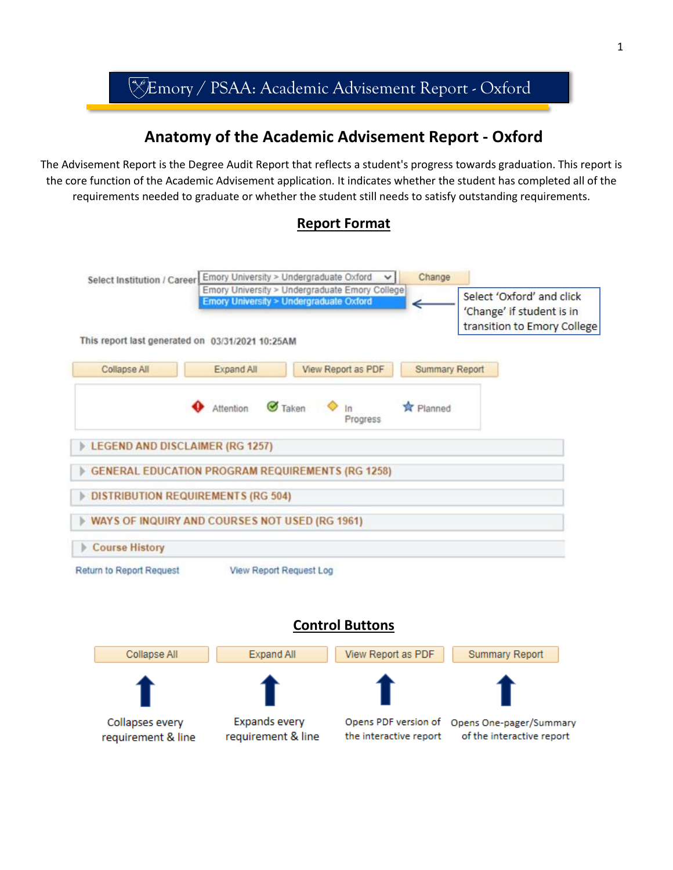

# **Anatomy of the Academic Advisement Report - Oxford**

The Advisement Report is the Degree Audit Report that reflects a student's progress towards graduation. This report is the core function of the Academic Advisement application. It indicates whether the student has completed all of the requirements needed to graduate or whether the student still needs to satisfy outstanding requirements.

## **Report Format**



## **Control Buttons**

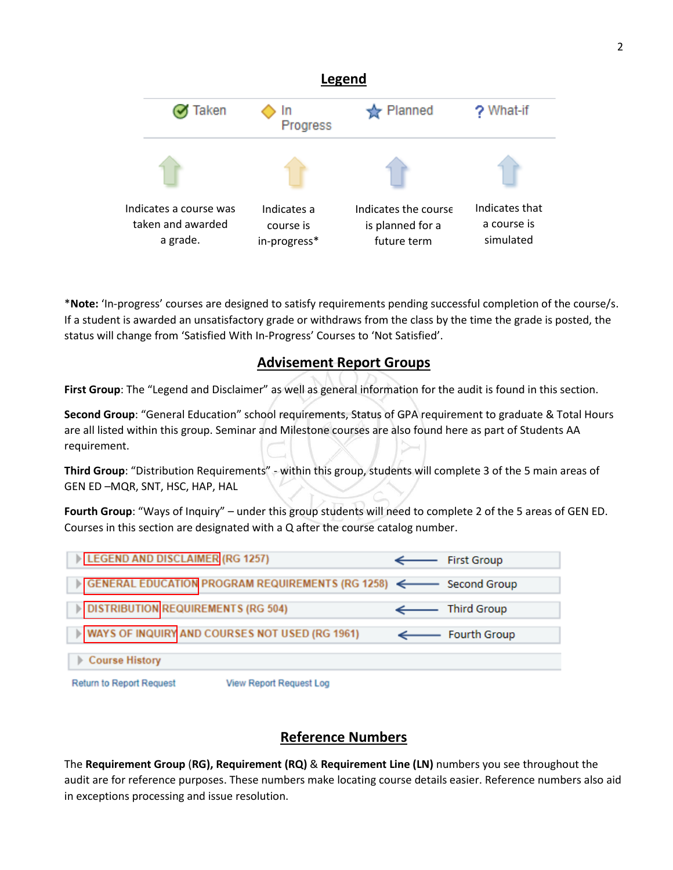

\***Note:** 'In-progress' courses are designed to satisfy requirements pending successful completion of the course/s. If a student is awarded an unsatisfactory grade or withdraws from the class by the time the grade is posted, the status will change from 'Satisfied With In-Progress' Courses to 'Not Satisfied'.

## **Advisement Report Groups**

**First Group**: The "Legend and Disclaimer" as well as general information for the audit is found in this section.

**Second Group**: "General Education" school requirements, Status of GPA requirement to graduate & Total Hours are all listed within this group. Seminar and Milestone courses are also found here as part of Students AA requirement.

**Third Group**: "Distribution Requirements" - within this group, students will complete 3 of the 5 main areas of GEN ED –MQR, SNT, HSC, HAP, HAL

**Fourth Group**: "Ways of Inquiry" – under this group students will need to complete 2 of the 5 areas of GEN ED. Courses in this section are designated with a Q after the course catalog number.



## **Reference Numbers**

The **Requirement Group** (**RG), Requirement (RQ)** & **Requirement Line (LN)** numbers you see throughout the audit are for reference purposes. These numbers make locating course details easier. Reference numbers also aid in exceptions processing and issue resolution.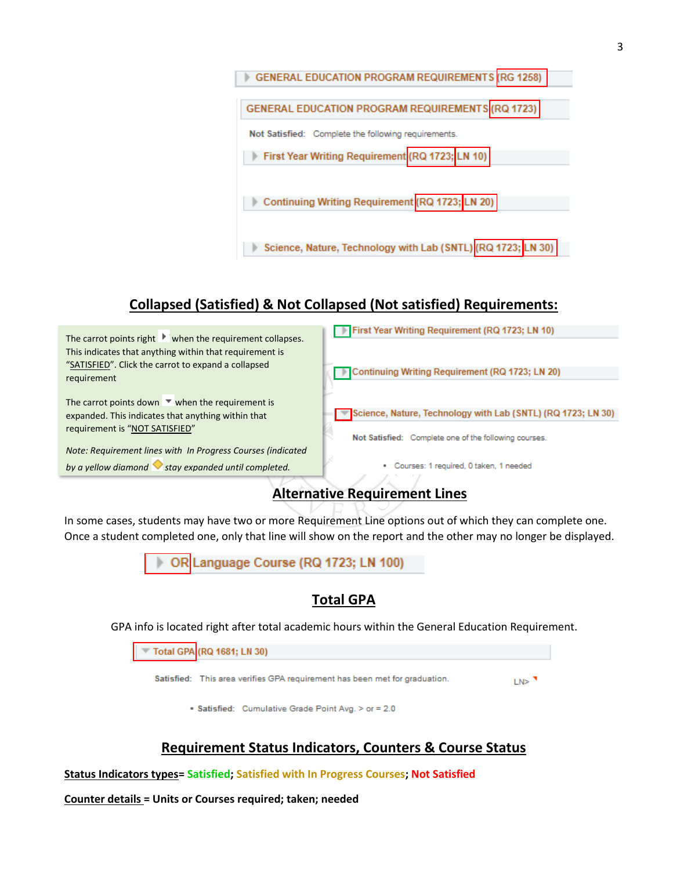

# **Collapsed (Satisfied) & Not Collapsed (Not satisfied) Requirements:**



# **Alternative Requirement Lines**

In some cases, students may have two or more Requirement Line options out of which they can complete one. Once a student completed one, only that line will show on the report and the other may no longer be displayed.



## **Total GPA**

GPA info is located right after total academic hours within the General Education Requirement.

Total GPA (RQ 1681; LN 30)

Satisfied: This area verifies GPA requirement has been met for graduation.

 $LN >$ <sup>7</sup>

• Satisfied: Cumulative Grade Point Avg. > or = 2.0

## **Requirement Status Indicators, Counters & Course Status**

**Status Indicators types= Satisfied; Satisfied with In Progress Courses; Not Satisfied** 

**Counter details = Units or Courses required; taken; needed**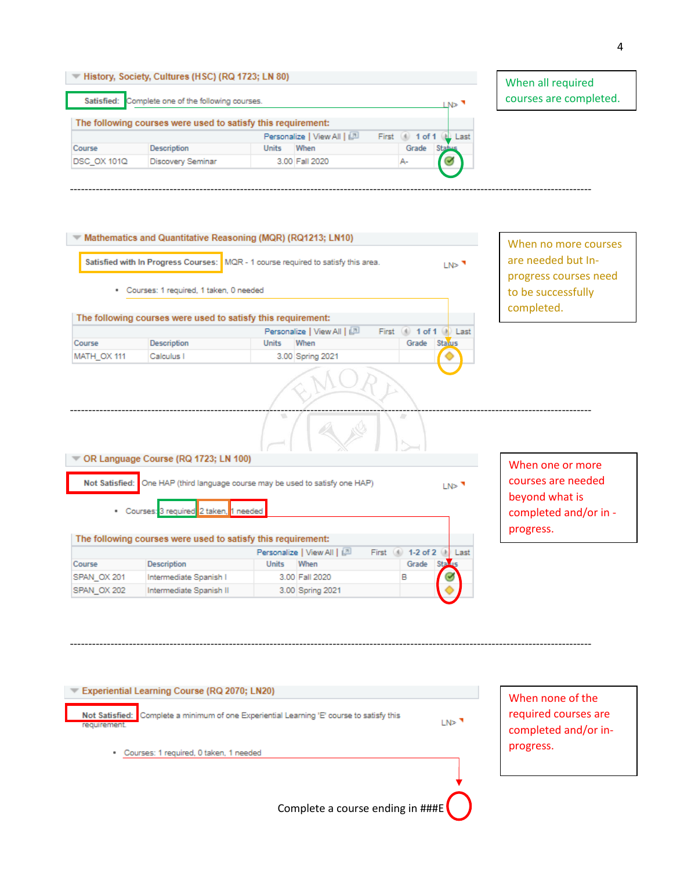|                          |       |                                                                                                        |                                                                                             | <b>CNS 3</b>                          |
|--------------------------|-------|--------------------------------------------------------------------------------------------------------|---------------------------------------------------------------------------------------------|---------------------------------------|
|                          |       |                                                                                                        |                                                                                             |                                       |
|                          |       |                                                                                                        | First                                                                                       | Last                                  |
| <b>Description</b>       | Units | When                                                                                                   |                                                                                             |                                       |
| <b>Discovery Seminar</b> |       |                                                                                                        |                                                                                             |                                       |
|                          |       | History, Society, Cultures (HSC) (RQ 1723; LN 80)<br>Satisfied: Complete one of the following courses. | The following courses were used to satisfy this requirement:<br>Personalize   View All   (과 | 1 of<br>Grade<br>3.00 Fall 2020<br>А- |

---------------------------------------------------------------------------------------------------------------------------------------------

When all required courses are completed.

|                       | Satisfied with In Progress Courses: MQR - 1 course required to satisfy this area.<br>· Courses: 1 required, 1 taken, 0 needed |                                            |                            |       |                      | LN> <sup>1</sup> | are needed but In-<br>progress courses need<br>to be successfully<br>completed. |
|-----------------------|-------------------------------------------------------------------------------------------------------------------------------|--------------------------------------------|----------------------------|-------|----------------------|------------------|---------------------------------------------------------------------------------|
|                       | The following courses were used to satisfy this requirement:                                                                  |                                            |                            |       |                      |                  |                                                                                 |
|                       |                                                                                                                               |                                            | Personalize   View All   2 | First | 4 1 of 1             | (a) Last         |                                                                                 |
| Course                | <b>Description</b>                                                                                                            | When<br><b>Units</b>                       |                            |       | Grade                | Status           |                                                                                 |
| MATH_OX 111           | Calculus I                                                                                                                    |                                            | 3.00 Spring 2021           |       |                      |                  |                                                                                 |
|                       |                                                                                                                               | v.                                         |                            |       | 19                   |                  |                                                                                 |
|                       | OR Language Course (RQ 1723; LN 100)                                                                                          |                                            |                            |       |                      |                  | When one or more                                                                |
| <b>Not Satisfied:</b> | One HAP (third language course may be used to satisfy one HAP)<br>· Courses: 3 required 2 taken, 1 needed                     |                                            |                            |       |                      | LN> <sup>1</sup> | courses are needed<br>beyond what is<br>completed and/or in -<br>progress.      |
|                       |                                                                                                                               |                                            |                            |       |                      |                  |                                                                                 |
|                       | The following courses were used to satisfy this requirement:                                                                  |                                            |                            |       | First 4 1-2 of 2 (k) | Last             |                                                                                 |
|                       | <b>Description</b>                                                                                                            | Personalize   View All   2<br><b>Units</b> | When                       |       | Grade                | <b>Stal</b>      |                                                                                 |
| Course<br>SPAN OX 201 | Intermediate Spanish I                                                                                                        | 3.00 Fall 2020                             |                            |       | В                    |                  |                                                                                 |

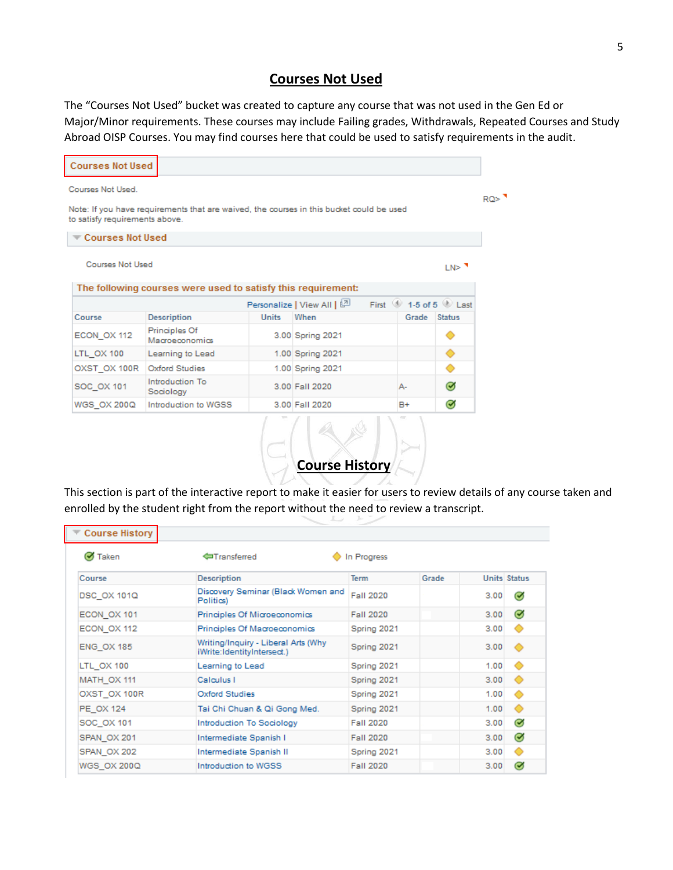## **Courses Not Used**

The "Courses Not Used" bucket was created to capture any course that was not used in the Gen Ed or Major/Minor requirements. These courses may include Failing grades, Withdrawals, Repeated Courses and Study Abroad OISP Courses. You may find courses here that could be used to satisfy requirements in the audit.



This section is part of the interactive report to make it easier for users to review details of any course taken and enrolled by the student right from the report without the need to review a transcript.

**Course History**

| <b>Course History</b> |                                                                   |                  |       |      |                     |
|-----------------------|-------------------------------------------------------------------|------------------|-------|------|---------------------|
| Ø Taken               | <b>In Transferred</b>                                             | In Progress      |       |      |                     |
| Course                | <b>Description</b>                                                | <b>Term</b>      | Grade |      | <b>Units Status</b> |
| DSC OX 101Q           | Discovery Seminar (Black Women and<br>Politics)                   | Fall 2020        |       | 3.00 | ☑                   |
| ECON OX 101           | Principles Of Microeconomics                                      | Fall 2020        |       | 3.00 | $\bullet$           |
| ECON OX 112           | Principles Of Macroeconomics                                      | Spring 2021      |       | 3.00 | ◇                   |
| <b>ENG OX 185</b>     | Writing/Inquiry - Liberal Arts (Why<br>iWrite:IdentityIntersect.) | Spring 2021      |       | 3.00 | $\bullet$           |
| LTL OX 100            | Learning to Lead                                                  | Spring 2021      |       | 1.00 | ◦                   |
| MATH_OX 111           | Calculus I                                                        | Spring 2021      |       | 3.00 | ◇                   |
| OXST OX 100R          | Oxford Studies                                                    | Spring 2021      |       | 1.00 | ◇                   |
| PE OX 124             | Tai Chi Chuan & Qi Gong Med.                                      | Spring 2021      |       | 1.00 | ⊙                   |
| SOC OX 101            | Introduction To Sociology                                         | Fall 2020        |       | 3.00 | $\bullet$           |
| SPAN OX 201           | Intermediate Spanish I                                            | Fall 2020        |       | 3.00 | $\bullet$           |
| SPAN OX 202           | Intermediate Spanish II                                           | Spring 2021      |       | 3.00 | ⊙                   |
| WGS OX 200Q           | Introduction to WGSS                                              | <b>Fall 2020</b> |       | 3.00 | $\bm{\sigma}$       |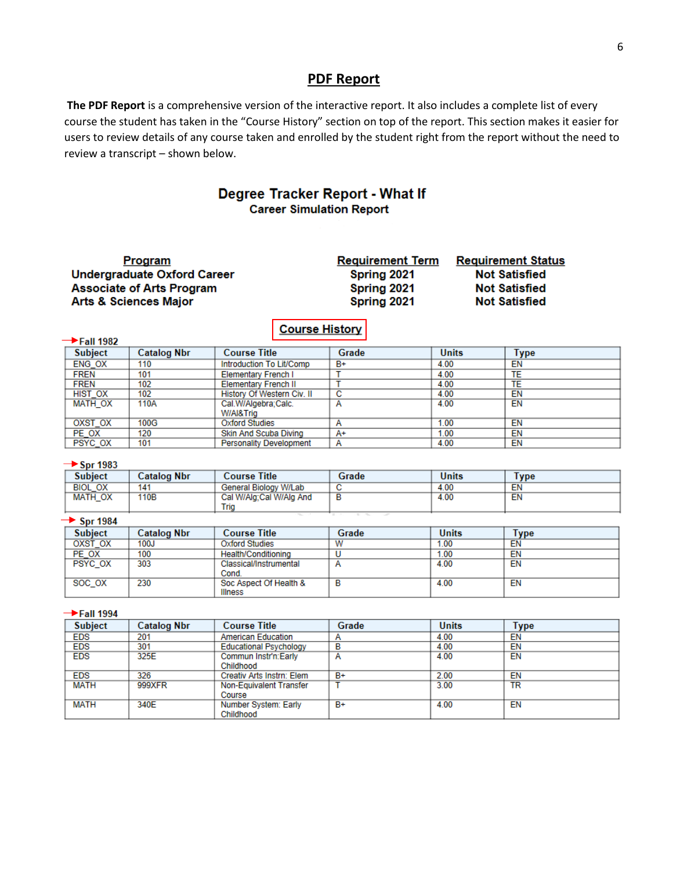### **PDF Report**

**The PDF Report** is a comprehensive version of the interactive report. It also includes a complete list of every course the student has taken in the "Course History" section on top of the report. This section makes it easier for users to review details of any course taken and enrolled by the student right from the report without the need to review a transcript – shown below.

### Degree Tracker Report - What If **Career Simulation Report**

| Program                            | <b>Requirement Term</b> | <b>Requirement Status</b> |
|------------------------------------|-------------------------|---------------------------|
| <b>Undergraduate Oxford Career</b> | Spring 2021             | <b>Not Satisfied</b>      |
| <b>Associate of Arts Program</b>   | Spring 2021             | <b>Not Satisfied</b>      |
| <b>Arts &amp; Sciences Major</b>   | Spring 2021             | <b>Not Satisfied</b>      |
|                                    | <b>Course History</b>   |                           |

| → Fall 1982    |                    |                                |       |              |      |
|----------------|--------------------|--------------------------------|-------|--------------|------|
| <b>Subject</b> | <b>Catalog Nbr</b> | <b>Course Title</b>            | Grade | <b>Units</b> | Type |
| ENG OX         | 110                | Introduction To Lit/Comp       | B+    | 4.00         | ΕN   |
| <b>FREN</b>    | 101                | <b>Elementary French I</b>     |       | 4.00         |      |
| <b>FREN</b>    | 102                | <b>Elementary French II</b>    |       | 4.00         | TE   |
| <b>HIST OX</b> | 102                | History Of Western Civ. II     | с     | 4.00         | EN   |
| MATH OX        | 110A               | Cal.W/Algebra:Calc.            |       | 4.00         | EN   |
|                |                    | W/AI&Trig                      |       |              |      |
| OXST OX        | 100G               | Oxford Studies                 | А     | 1.00         | EN   |
| PE OX          | 120                | Skin And Scuba Diving          | A+    | 1.00         | ΕN   |
| PSYC OX        | 101                | <b>Personality Development</b> | А     | 4.00         | EN   |

#### $\rightarrow$  Spr 1983

| <b>Subject</b> | <b>Catalog Nbr</b> | Course Title            | Grade                                       | <b>Units</b> | l vpe |
|----------------|--------------------|-------------------------|---------------------------------------------|--------------|-------|
| <b>BIOL OX</b> | 141                | General Biology W/Lab   |                                             | 4.00         | ΕN    |
| MATH OX        | 110B               | Cal W/Alg:Cal W/Alg And |                                             | 4.00         | EN    |
|                |                    | Tria                    | the company's company's company's company's |              |       |

#### $\rightarrow$  Spr 1984

| <b>Subject</b> | <b>Catalog Nbr</b> | <b>Course Title</b>    | Grade | <b>Units</b> | Type |
|----------------|--------------------|------------------------|-------|--------------|------|
| OXST OX        | 100J               | <b>Oxford Studies</b>  |       | 1.00         | EN   |
| PE_OX          | 100                | Health/Conditioning    |       | 1.00         | EN   |
| PSYC OX        | 303                | Classical/Instrumental |       | 4.00         | EN   |
|                |                    | Cond.                  |       |              |      |
| SOC OX         | 230                | Soc Aspect Of Health & |       | 4.00         | EN   |
|                |                    | <b>Illness</b>         |       |              |      |

#### $\rightarrow$ Fall 1994

| <b>Subject</b> | <b>Catalog Nbr</b> | <b>Course Title</b>           | Grade | <b>Units</b> | Type      |
|----------------|--------------------|-------------------------------|-------|--------------|-----------|
| <b>EDS</b>     | 201                | <b>American Education</b>     |       | 4.00         | EN        |
| <b>EDS</b>     | 301                | <b>Educational Psychology</b> | в     | 4.00         | EN        |
| <b>EDS</b>     | 325E               | Commun Instr'n:Early          |       | 4.00         | EN        |
|                |                    | Childhood                     |       |              |           |
| <b>EDS</b>     | 326                | Creativ Arts Instrn: Elem     | $B+$  | 2.00         | ΕN        |
| <b>MATH</b>    | 999XFR             | Non-Equivalent Transfer       |       | 3.00         | <b>TR</b> |
|                |                    | Course                        |       |              |           |
| MATH           | 340E               | Number System: Early          | $B+$  | 4.00         | EN        |
|                |                    | Childhood                     |       |              |           |